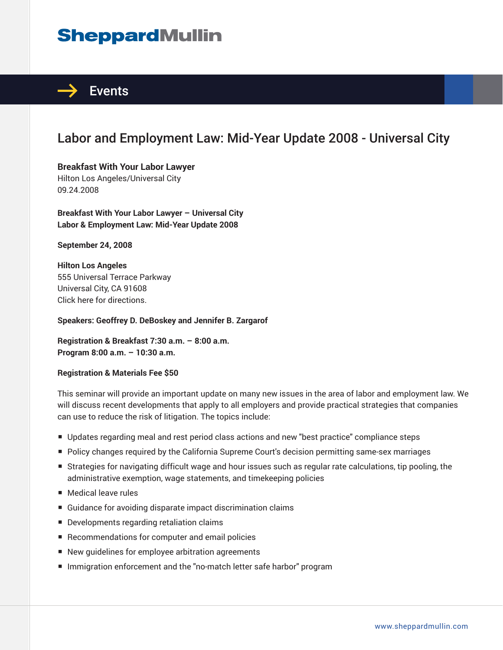## **SheppardMullin**



## Labor and Employment Law: Mid-Year Update 2008 - Universal City

**Breakfast With Your Labor Lawyer** Hilton Los Angeles/Universal City 09.24.2008

**Breakfast With Your Labor Lawyer – Universal City Labor & Employment Law: Mid-Year Update 2008** 

**September 24, 2008** 

**Hilton Los Angeles** 555 Universal Terrace Parkway Universal City, CA 91608 Click here for directions.

**Speakers: Geoffrey D. DeBoskey and Jennifer B. Zargarof** 

**Registration & Breakfast 7:30 a.m. – 8:00 a.m. Program 8:00 a.m. – 10:30 a.m.**

## **Registration & Materials Fee \$50**

This seminar will provide an important update on many new issues in the area of labor and employment law. We will discuss recent developments that apply to all employers and provide practical strategies that companies can use to reduce the risk of litigation. The topics include:

- Updates regarding meal and rest period class actions and new "best practice" compliance steps
- Policy changes required by the California Supreme Court's decision permitting same-sex marriages
- Strategies for navigating difficult wage and hour issues such as regular rate calculations, tip pooling, the administrative exemption, wage statements, and timekeeping policies
- Medical leave rules
- Guidance for avoiding disparate impact discrimination claims
- Developments regarding retaliation claims
- Recommendations for computer and email policies
- New quidelines for employee arbitration agreements
- Immigration enforcement and the "no-match letter safe harbor" program